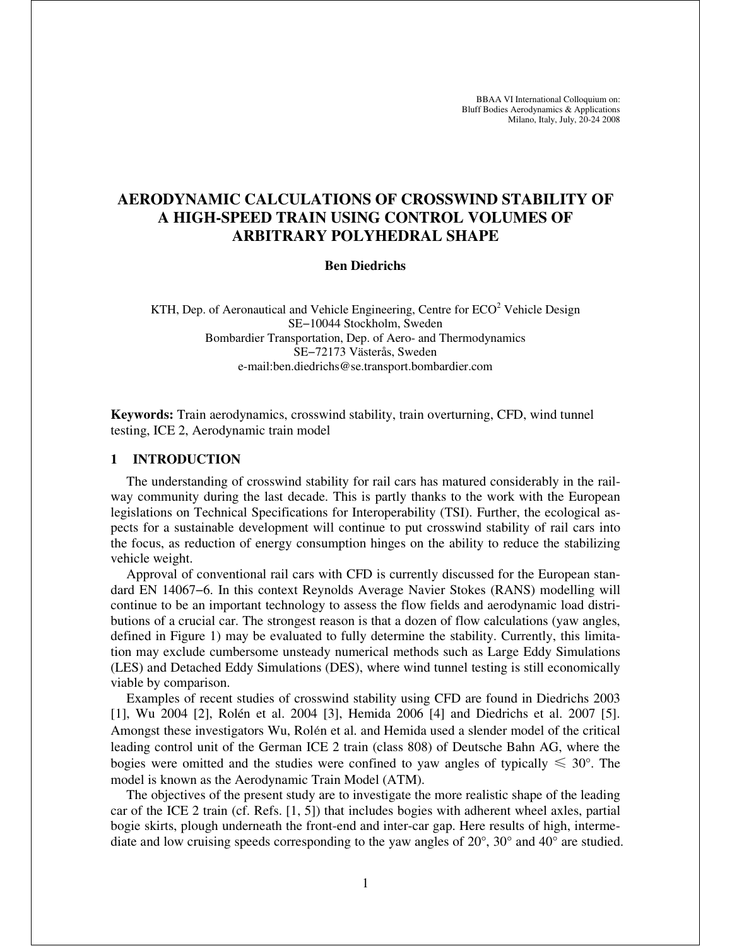BBAA VI International Colloquium on: Bluff Bodies Aerodynamics & Applications Milano, Italy, July, 20-24 2008

# **AERODYNAMIC CALCULATIONS OF CROSSWIND STABILITY OF A HIGH-SPEED TRAIN USING CONTROL VOLUMES OF ARBITRARY POLYHEDRAL SHAPE**

#### **Ben Diedrichs**

KTH, Dep. of Aeronautical and Vehicle Engineering, Centre for  $ECO<sup>2</sup>$  Vehicle Design SE−10044 Stockholm, Sweden Bombardier Transportation, Dep. of Aero- and Thermodynamics SE−72173 Västerås, Sweden e-mail:ben.diedrichs@se.transport.bombardier.com

**Keywords:** Train aerodynamics, crosswind stability, train overturning, CFD, wind tunnel testing, ICE 2, Aerodynamic train model

### **1 INTRODUCTION**

The understanding of crosswind stability for rail cars has matured considerably in the railway community during the last decade. This is partly thanks to the work with the European legislations on Technical Specifications for Interoperability (TSI). Further, the ecological aspects for a sustainable development will continue to put crosswind stability of rail cars into the focus, as reduction of energy consumption hinges on the ability to reduce the stabilizing vehicle weight.

Approval of conventional rail cars with CFD is currently discussed for the European standard EN 14067−6. In this context Reynolds Average Navier Stokes (RANS) modelling will continue to be an important technology to assess the flow fields and aerodynamic load distributions of a crucial car. The strongest reason is that a dozen of flow calculations (yaw angles, defined in Figure 1) may be evaluated to fully determine the stability. Currently, this limitation may exclude cumbersome unsteady numerical methods such as Large Eddy Simulations (LES) and Detached Eddy Simulations (DES), where wind tunnel testing is still economically viable by comparison.

Examples of recent studies of crosswind stability using CFD are found in Diedrichs 2003 [1], Wu 2004 [2], Rolén et al. 2004 [3], Hemida 2006 [4] and Diedrichs et al. 2007 [5]. Amongst these investigators Wu, Rolén et al. and Hemida used a slender model of the critical leading control unit of the German ICE 2 train (class 808) of Deutsche Bahn AG, where the bogies were omitted and the studies were confined to yaw angles of typically  $\leq 30^{\circ}$ . The model is known as the Aerodynamic Train Model (ATM).

The objectives of the present study are to investigate the more realistic shape of the leading car of the ICE 2 train (cf. Refs. [1, 5]) that includes bogies with adherent wheel axles, partial bogie skirts, plough underneath the front-end and inter-car gap. Here results of high, intermediate and low cruising speeds corresponding to the yaw angles of 20°, 30° and 40° are studied.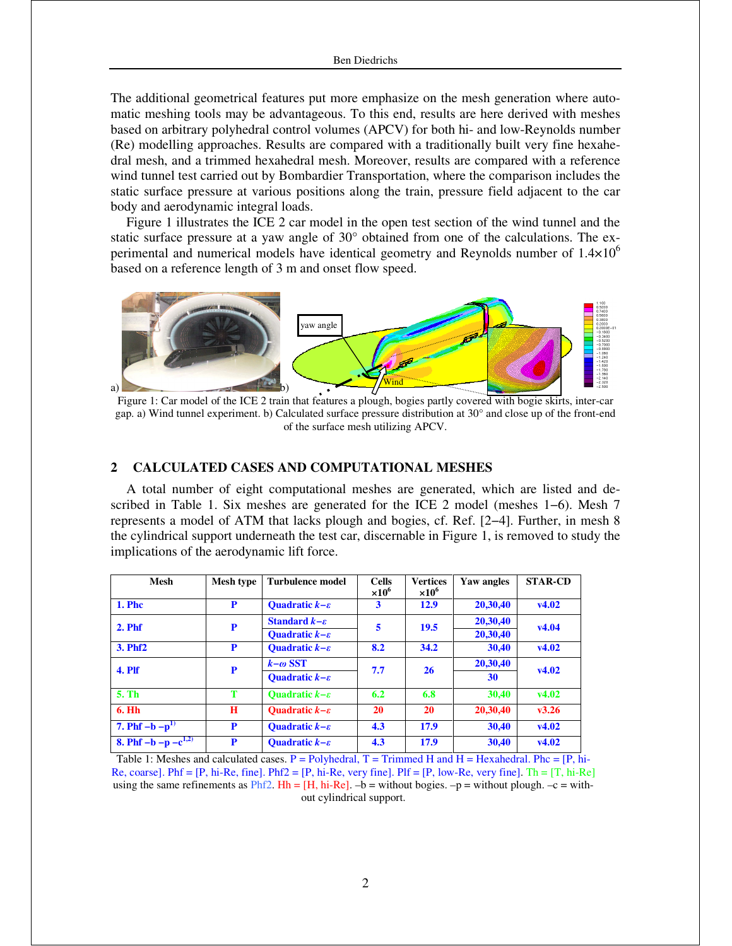The additional geometrical features put more emphasize on the mesh generation where automatic meshing tools may be advantageous. To this end, results are here derived with meshes based on arbitrary polyhedral control volumes (APCV) for both hi- and low-Reynolds number (Re) modelling approaches. Results are compared with a traditionally built very fine hexahedral mesh, and a trimmed hexahedral mesh. Moreover, results are compared with a reference wind tunnel test carried out by Bombardier Transportation, where the comparison includes the static surface pressure at various positions along the train, pressure field adjacent to the car body and aerodynamic integral loads.

Figure 1 illustrates the ICE 2 car model in the open test section of the wind tunnel and the static surface pressure at a yaw angle of 30° obtained from one of the calculations. The experimental and numerical models have identical geometry and Reynolds number of  $1.4\times10^{6}$ based on a reference length of 3 m and onset flow speed.



Figure 1: Car model of the ICE 2 train that features a plough, bogies partly covered with bogie skirts, inter-car gap. a) Wind tunnel experiment. b) Calculated surface pressure distribution at 30° and close up of the front-end of the surface mesh utilizing APCV.

### **2 CALCULATED CASES AND COMPUTATIONAL MESHES**

A total number of eight computational meshes are generated, which are listed and described in Table 1. Six meshes are generated for the ICE 2 model (meshes 1−6). Mesh 7 represents a model of ATM that lacks plough and bogies, cf. Ref. [2−4]. Further, in mesh 8 the cylindrical support underneath the test car, discernable in Figure 1, is removed to study the implications of the aerodynamic lift force.

| <b>Mesh</b>               | Mesh type | <b>Turbulence model</b>            | <b>Cells</b><br>$\times10^{6}$ | <b>Vertices</b><br>$\times10^{6}$ | Yaw angles | <b>STAR-CD</b> |
|---------------------------|-----------|------------------------------------|--------------------------------|-----------------------------------|------------|----------------|
| <b>1. Phc</b>             | P         | <b>Quadratic</b> $k-\varepsilon$   | 3                              | 12.9                              | 20,30,40   | v4.02          |
| $2.$ Phf                  | P         | Standard $k - \varepsilon$         | 5                              | 19.5                              | 20,30,40   | v4.04          |
|                           |           | <b>Quadratic</b> $k-\varepsilon$   |                                |                                   | 20,30,40   |                |
| 3. Phf <sub>2</sub>       | P         | <b>Quadratic</b> $k-\varepsilon$   | 8.2                            | 34.2                              | 30,40      | v4.02          |
| 4. Plf                    | P         | $k-\omega$ SST                     | 7.7                            | 26                                | 20,30,40   | v4.02          |
|                           |           | <b>Quadratic</b> $k-\varepsilon$   |                                |                                   | 30         |                |
| 5. Th                     | т         | <b>Quadratic</b> $k - \varepsilon$ | 6.2                            | 6.8                               | 30,40      | v4.02          |
| 6. Hh                     | H         | <b>Ouadratic</b> $k - \varepsilon$ | 20                             | <b>20</b>                         | 20,30,40   | v3.26          |
| 7. Phf $-b - p^{1}$       | P         | <b>Quadratic</b> $k-\varepsilon$   | 4.3                            | 17.9                              | 30,40      | v4.02          |
| 8. Phf $-b - p - c^{1,2}$ | P         | <b>Ouadratic</b> $k-\varepsilon$   | 4.3                            | 17.9                              | 30,40      | v4.02          |

Table 1: Meshes and calculated cases.  $P =$  Polyhedral,  $T =$  Trimmed H and H = Hexahedral. Phc = [P, hi-Re, coarse]. Phf =  $[P, h_i$ -Re, fine]. Phf2 =  $[P, h_i$ -Re, very fine]. Plf =  $[P, low$ -Re, very fine]. Th =  $[T, h_i$ -Re] using the same refinements as  $Phf2$ . Hh = [H, hi-Re].  $-b =$  without bogies.  $-p =$  without plough.  $-c =$  without cylindrical support.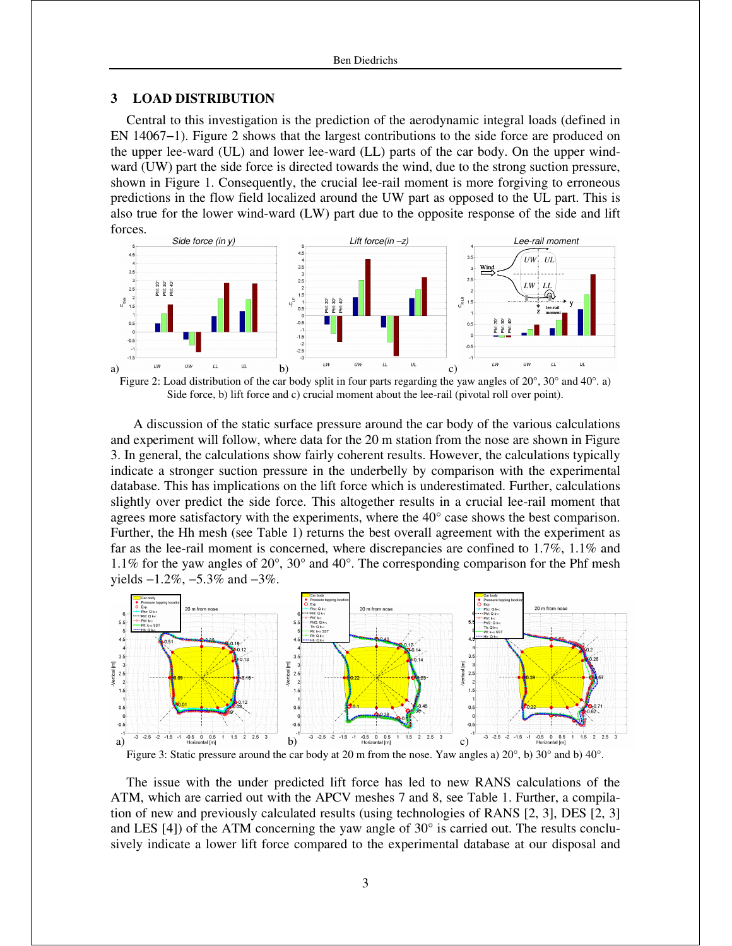### **3 LOAD DISTRIBUTION**

Central to this investigation is the prediction of the aerodynamic integral loads (defined in EN 14067−1). Figure 2 shows that the largest contributions to the side force are produced on the upper lee-ward (UL) and lower lee-ward (LL) parts of the car body. On the upper windward (UW) part the side force is directed towards the wind, due to the strong suction pressure, shown in Figure 1. Consequently, the crucial lee-rail moment is more forgiving to erroneous predictions in the flow field localized around the UW part as opposed to the UL part. This is also true for the lower wind-ward (LW) part due to the opposite response of the side and lift forces.



Figure 2: Load distribution of the car body split in four parts regarding the yaw angles of 20°, 30° and 40°. a) Side force, b) lift force and c) crucial moment about the lee-rail (pivotal roll over point).

 A discussion of the static surface pressure around the car body of the various calculations and experiment will follow, where data for the 20 m station from the nose are shown in Figure 3. In general, the calculations show fairly coherent results. However, the calculations typically indicate a stronger suction pressure in the underbelly by comparison with the experimental database. This has implications on the lift force which is underestimated. Further, calculations slightly over predict the side force. This altogether results in a crucial lee-rail moment that agrees more satisfactory with the experiments, where the 40° case shows the best comparison. Further, the Hh mesh (see Table 1) returns the best overall agreement with the experiment as far as the lee-rail moment is concerned, where discrepancies are confined to 1.7%, 1.1% and 1.1% for the yaw angles of 20°, 30° and 40°. The corresponding comparison for the Phf mesh yields −1.2%, −5.3% and −3%.



Figure 3: Static pressure around the car body at 20 m from the nose. Yaw angles a) 20°, b) 30° and b) 40°.

The issue with the under predicted lift force has led to new RANS calculations of the ATM, which are carried out with the APCV meshes 7 and 8, see Table 1. Further, a compilation of new and previously calculated results (using technologies of RANS [2, 3], DES [2, 3] and LES  $[4]$ ) of the ATM concerning the yaw angle of  $30^{\circ}$  is carried out. The results conclusively indicate a lower lift force compared to the experimental database at our disposal and